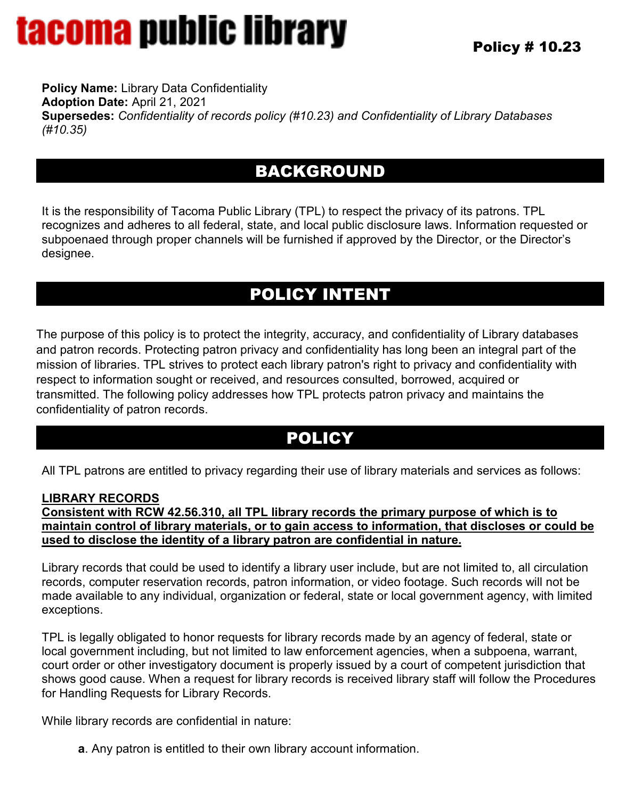**Policy Name:** Library Data Confidentiality **Adoption Date:** April 21, 2021 **Supersedes:** *Confidentiality of records policy (#10.23) and Confidentiality of Library Databases (#10.35)*

## BACKGROUND

It is the responsibility of Tacoma Public Library (TPL) to respect the privacy of its patrons. TPL recognizes and adheres to all federal, state, and local public disclosure laws. Information requested or subpoenaed through proper channels will be furnished if approved by the Director, or the Director's designee.

## POLICY INTENT

The purpose of this policy is to protect the integrity, accuracy, and confidentiality of Library databases and patron records. Protecting patron privacy and confidentiality has long been an integral part of the mission of libraries. TPL strives to protect each library patron's right to privacy and confidentiality with respect to information sought or received, and resources consulted, borrowed, acquired or transmitted. The following policy addresses how TPL protects patron privacy and maintains the confidentiality of patron records.

### POLICY

All TPL patrons are entitled to privacy regarding their use of library materials and services as follows:

#### **LIBRARY RECORDS**

**Consistent with RCW 42.56.310, all TPL library records the primary purpose of which is to maintain control of library materials, or to gain access to information, that discloses or could be used to disclose the identity of a library patron are confidential in nature.**

Library records that could be used to identify a library user include, but are not limited to, all circulation records, computer reservation records, patron information, or video footage. Such records will not be made available to any individual, organization or federal, state or local government agency, with limited exceptions.

TPL is legally obligated to honor requests for library records made by an agency of federal, state or local government including, but not limited to law enforcement agencies, when a subpoena, warrant, court order or other investigatory document is properly issued by a court of competent jurisdiction that shows good cause. When a request for library records is received library staff will follow the Procedures for Handling Requests for Library Records.

While library records are confidential in nature:

**a**. Any patron is entitled to their own library account information.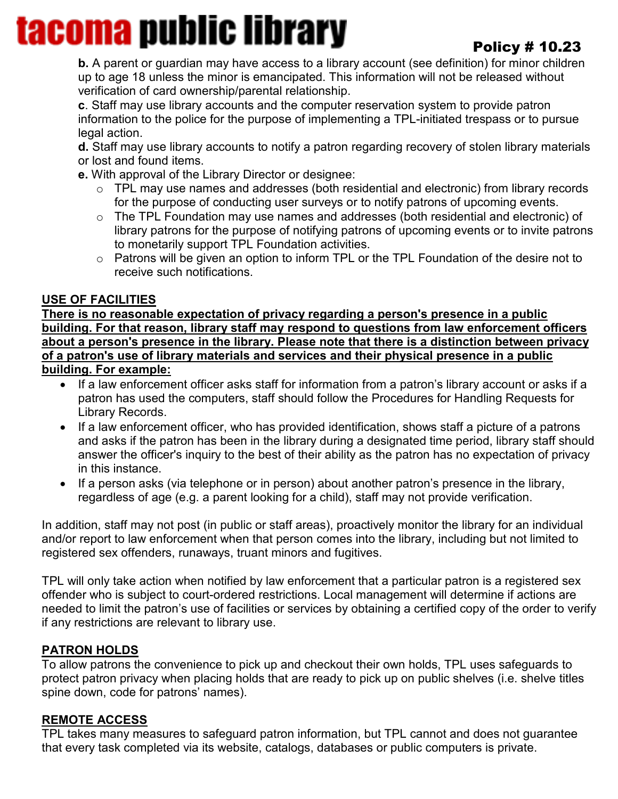### Policy # 10.23

**b.** A parent or guardian may have access to a library account (see definition) for minor children up to age 18 unless the minor is emancipated. This information will not be released without verification of card ownership/parental relationship.

**c**. Staff may use library accounts and the computer reservation system to provide patron information to the police for the purpose of implementing a TPL-initiated trespass or to pursue legal action.

**d.** Staff may use library accounts to notify a patron regarding recovery of stolen library materials or lost and found items.

**e.** With approval of the Library Director or designee:

- o TPL may use names and addresses (both residential and electronic) from library records for the purpose of conducting user surveys or to notify patrons of upcoming events.
- o The TPL Foundation may use names and addresses (both residential and electronic) of library patrons for the purpose of notifying patrons of upcoming events or to invite patrons to monetarily support TPL Foundation activities.
- o Patrons will be given an option to inform TPL or the TPL Foundation of the desire not to receive such notifications.

#### **USE OF FACILITIES**

**There is no reasonable expectation of privacy regarding a person's presence in a public building. For that reason, library staff may respond to questions from law enforcement officers about a person's presence in the library. Please note that there is a distinction between privacy of a patron's use of library materials and services and their physical presence in a public building. For example:**

- If a law enforcement officer asks staff for information from a patron's library account or asks if a patron has used the computers, staff should follow the Procedures for Handling Requests for Library Records.
- If a law enforcement officer, who has provided identification, shows staff a picture of a patrons and asks if the patron has been in the library during a designated time period, library staff should answer the officer's inquiry to the best of their ability as the patron has no expectation of privacy in this instance.
- If a person asks (via telephone or in person) about another patron's presence in the library, regardless of age (e.g. a parent looking for a child), staff may not provide verification.

In addition, staff may not post (in public or staff areas), proactively monitor the library for an individual and/or report to law enforcement when that person comes into the library, including but not limited to registered sex offenders, runaways, truant minors and fugitives.

TPL will only take action when notified by law enforcement that a particular patron is a registered sex offender who is subject to court-ordered restrictions. Local management will determine if actions are needed to limit the patron's use of facilities or services by obtaining a certified copy of the order to verify if any restrictions are relevant to library use.

#### **PATRON HOLDS**

To allow patrons the convenience to pick up and checkout their own holds, TPL uses safeguards to protect patron privacy when placing holds that are ready to pick up on public shelves (i.e. shelve titles spine down, code for patrons' names).

#### **REMOTE ACCESS**

TPL takes many measures to safeguard patron information, but TPL cannot and does not guarantee that every task completed via its website, catalogs, databases or public computers is private.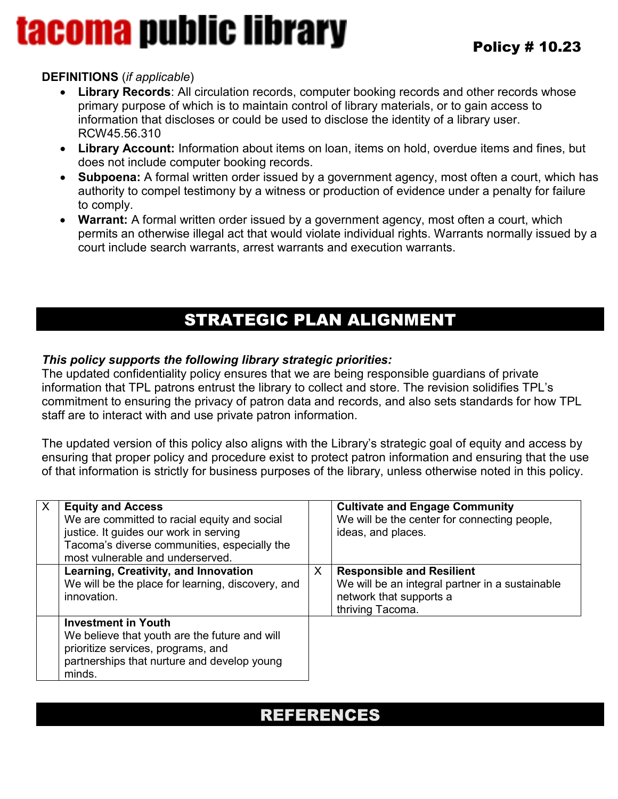#### **DEFINITIONS** (*if applicable*)

- **Library Records**: All circulation records, computer booking records and other records whose primary purpose of which is to maintain control of library materials, or to gain access to information that discloses or could be used to disclose the identity of a library user. RCW45.56.310
- **Library Account:** Information about items on loan, items on hold, overdue items and fines, but does not include computer booking records.
- **Subpoena:** A formal written order issued by a government agency, most often a court, which has authority to compel testimony by a witness or production of evidence under a penalty for failure to comply.
- **Warrant:** A formal written order issued by a government agency, most often a court, which permits an otherwise illegal act that would violate individual rights. Warrants normally issued by a court include search warrants, arrest warrants and execution warrants.

## STRATEGIC PLAN ALIGNMENT

#### *This policy supports the following library strategic priorities:*

The updated confidentiality policy ensures that we are being responsible guardians of private information that TPL patrons entrust the library to collect and store. The revision solidifies TPL's commitment to ensuring the privacy of patron data and records, and also sets standards for how TPL staff are to interact with and use private patron information.

The updated version of this policy also aligns with the Library's strategic goal of equity and access by ensuring that proper policy and procedure exist to protect patron information and ensuring that the use of that information is strictly for business purposes of the library, unless otherwise noted in this policy.

| $\sf X$ | <b>Equity and Access</b><br>We are committed to racial equity and social<br>justice. It guides our work in serving<br>Tacoma's diverse communities, especially the<br>most vulnerable and underserved. |   | <b>Cultivate and Engage Community</b><br>We will be the center for connecting people,<br>ideas, and places.                        |
|---------|--------------------------------------------------------------------------------------------------------------------------------------------------------------------------------------------------------|---|------------------------------------------------------------------------------------------------------------------------------------|
|         | Learning, Creativity, and Innovation<br>We will be the place for learning, discovery, and<br>innovation.                                                                                               | X | <b>Responsible and Resilient</b><br>We will be an integral partner in a sustainable<br>network that supports a<br>thriving Tacoma. |
|         | <b>Investment in Youth</b><br>We believe that youth are the future and will<br>prioritize services, programs, and<br>partnerships that nurture and develop young<br>minds.                             |   |                                                                                                                                    |

### REFERENCES